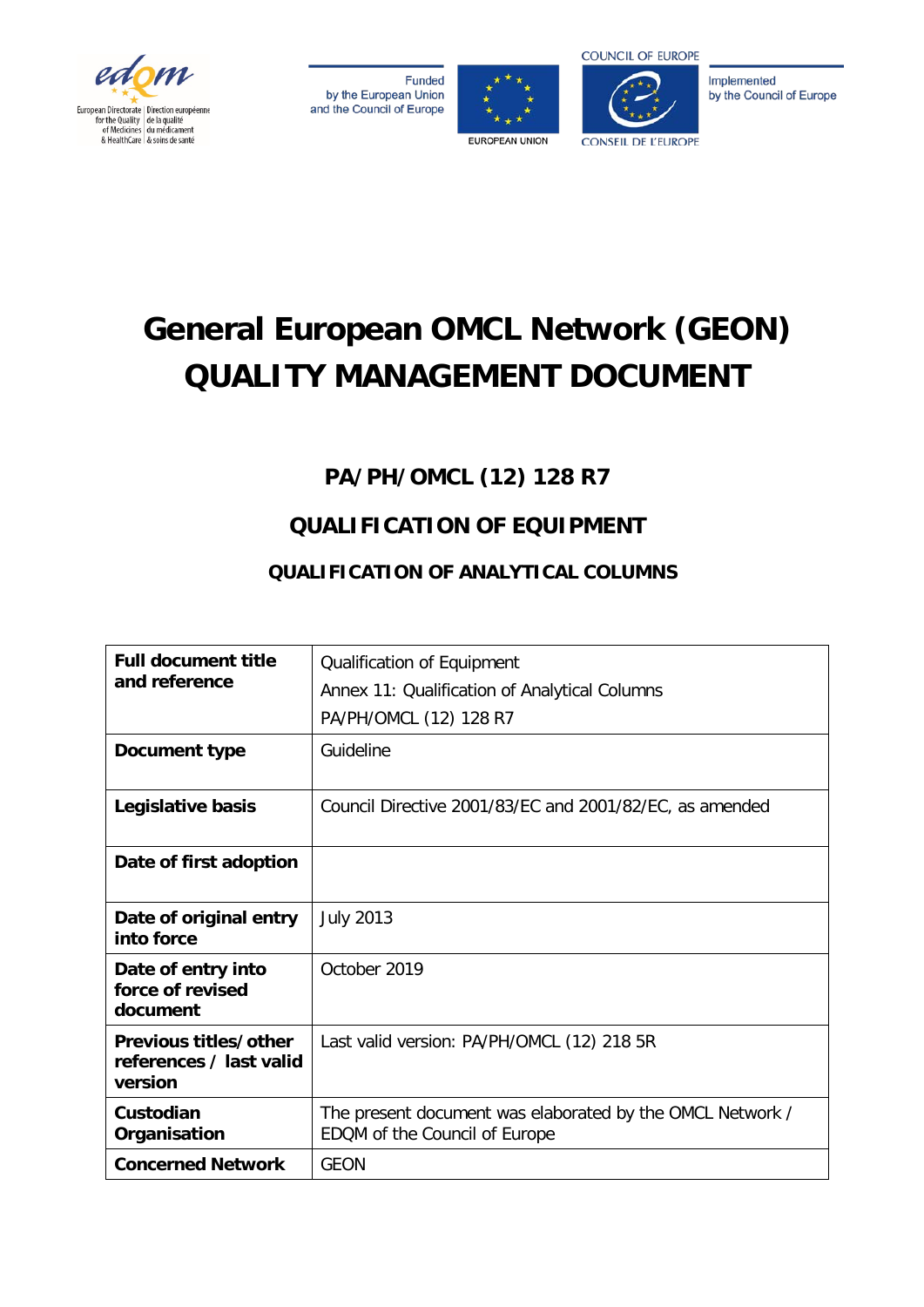

**Funded** by the European Union and the Council of Europe





**COUNCIL OF EUROPE** 

Implemented by the Council of Europe

# **General European OMCL Network (GEON) QUALITY MANAGEMENT DOCUMENT**

# **PA/PH/OMCL (12) 128 R7**

# **QUALIFICATION OF EQUIPMENT**

# **QUALIFICATION OF ANALYTICAL COLUMNS**

| <b>Full document title</b><br>and reference                 | Qualification of Equipment<br>Annex 11: Qualification of Analytical Columns<br>PA/PH/OMCL (12) 128 R7 |  |  |  |  |  |
|-------------------------------------------------------------|-------------------------------------------------------------------------------------------------------|--|--|--|--|--|
| Document type                                               | Guideline                                                                                             |  |  |  |  |  |
| Legislative basis                                           | Council Directive 2001/83/EC and 2001/82/EC, as amended                                               |  |  |  |  |  |
| Date of first adoption                                      |                                                                                                       |  |  |  |  |  |
| Date of original entry<br>into force                        | <b>July 2013</b>                                                                                      |  |  |  |  |  |
| Date of entry into<br>force of revised<br>document          | October 2019                                                                                          |  |  |  |  |  |
| Previous titles/other<br>references / last valid<br>version | Last valid version: PA/PH/OMCL (12) 218 5R                                                            |  |  |  |  |  |
| Custodian<br>Organisation                                   | The present document was elaborated by the OMCL Network /<br>EDQM of the Council of Europe            |  |  |  |  |  |
| <b>Concerned Network</b>                                    | <b>GEON</b>                                                                                           |  |  |  |  |  |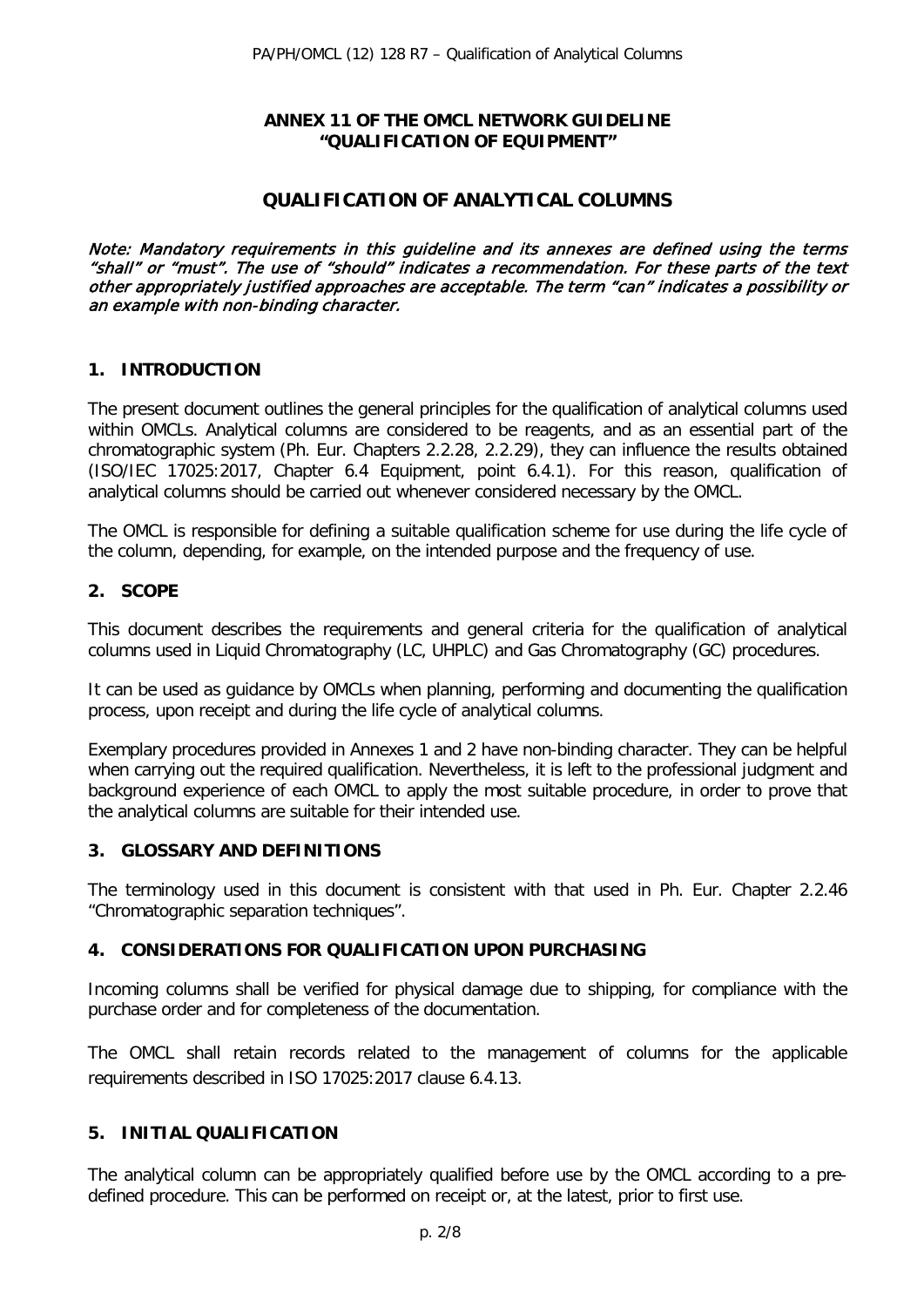### **ANNEX 11 OF THE OMCL NETWORK GUIDELINE "QUALIFICATION OF EQUIPMENT"**

# **QUALIFICATION OF ANALYTICAL COLUMNS**

Note: Mandatory requirements in this guideline and its annexes are defined using the terms "shall" or "must". The use of "should" indicates a recommendation. For these parts of the text other appropriately justified approaches are acceptable. The term "can" indicates a possibility or an example with non-binding character.

### **1. INTRODUCTION**

The present document outlines the general principles for the qualification of analytical columns used within OMCLs. Analytical columns are considered to be reagents, and as an essential part of the chromatographic system (Ph. Eur. Chapters 2.2.28, 2.2.29), they can influence the results obtained (ISO/IEC 17025:2017, Chapter 6.4 Equipment, point 6.4.1). For this reason, qualification of analytical columns should be carried out whenever considered necessary by the OMCL.

The OMCL is responsible for defining a suitable qualification scheme for use during the life cycle of the column, depending, for example, on the intended purpose and the frequency of use.

## **2. SCOPE**

This document describes the requirements and general criteria for the qualification of analytical columns used in Liquid Chromatography (LC, UHPLC) and Gas Chromatography (GC) procedures.

It can be used as guidance by OMCLs when planning, performing and documenting the qualification process, upon receipt and during the life cycle of analytical columns.

Exemplary procedures provided in Annexes 1 and 2 have non-binding character. They can be helpful when carrying out the required qualification. Nevertheless, it is left to the professional judgment and background experience of each OMCL to apply the most suitable procedure, in order to prove that the analytical columns are suitable for their intended use.

### **3. GLOSSARY AND DEFINITIONS**

The terminology used in this document is consistent with that used in Ph. Eur. Chapter 2.2.46 "Chromatographic separation techniques".

### **4. CONSIDERATIONS FOR QUALIFICATION UPON PURCHASING**

Incoming columns shall be verified for physical damage due to shipping, for compliance with the purchase order and for completeness of the documentation.

The OMCL shall retain records related to the management of columns for the applicable requirements described in ISO 17025:2017 clause 6.4.13.

### **5. INITIAL QUALIFICATION**

The analytical column can be appropriately qualified before use by the OMCL according to a predefined procedure. This can be performed on receipt or, at the latest, prior to first use.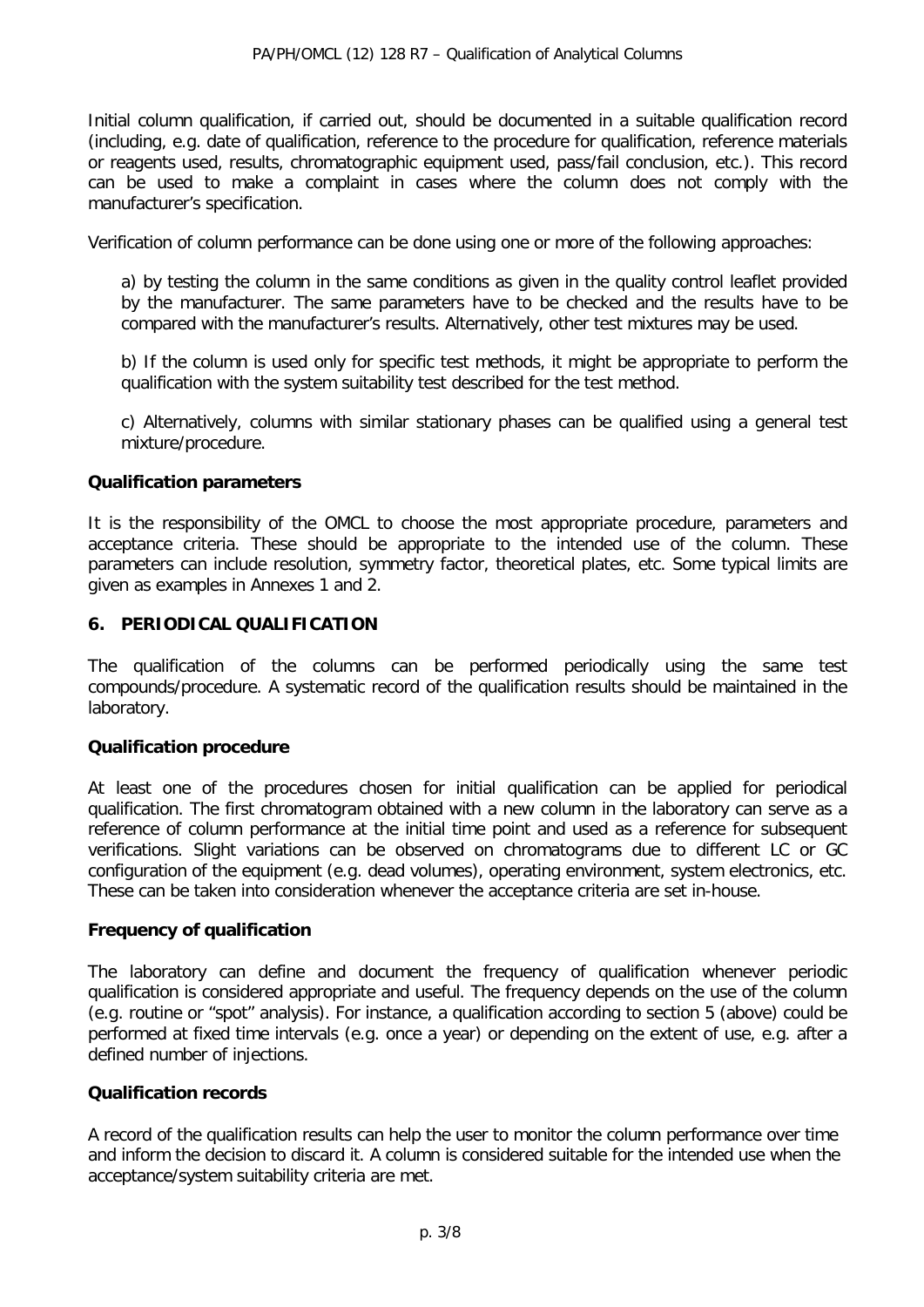Initial column qualification, if carried out, should be documented in a suitable qualification record (including, e.g. date of qualification, reference to the procedure for qualification, reference materials or reagents used, results, chromatographic equipment used, pass/fail conclusion, etc.). This record can be used to make a complaint in cases where the column does not comply with the manufacturer's specification.

Verification of column performance can be done using one or more of the following approaches:

a) by testing the column in the same conditions as given in the quality control leaflet provided by the manufacturer. The same parameters have to be checked and the results have to be compared with the manufacturer's results. Alternatively, other test mixtures may be used.

b) If the column is used only for specific test methods, it might be appropriate to perform the qualification with the system suitability test described for the test method.

c) Alternatively, columns with similar stationary phases can be qualified using a general test mixture/procedure.

### **Qualification parameters**

It is the responsibility of the OMCL to choose the most appropriate procedure, parameters and acceptance criteria. These should be appropriate to the intended use of the column. These parameters can include resolution, symmetry factor, theoretical plates, etc. Some typical limits are given as examples in Annexes 1 and 2.

# **6. PERIODICAL QUALIFICATION**

The qualification of the columns can be performed periodically using the same test compounds/procedure. A systematic record of the qualification results should be maintained in the laboratory.

### **Qualification procedure**

At least one of the procedures chosen for initial qualification can be applied for periodical qualification. The first chromatogram obtained with a new column in the laboratory can serve as a reference of column performance at the initial time point and used as a reference for subsequent verifications. Slight variations can be observed on chromatograms due to different LC or GC configuration of the equipment (e.g. dead volumes), operating environment, system electronics, etc. These can be taken into consideration whenever the acceptance criteria are set in-house.

### **Frequency of qualification**

The laboratory can define and document the frequency of qualification whenever periodic qualification is considered appropriate and useful. The frequency depends on the use of the column (e.g. routine or "spot" analysis). For instance, a qualification according to section 5 (above) could be performed at fixed time intervals (e.g. once a year) or depending on the extent of use, e.g. after a defined number of injections.

### **Qualification records**

A record of the qualification results can help the user to monitor the column performance over time and inform the decision to discard it. A column is considered suitable for the intended use when the acceptance/system suitability criteria are met.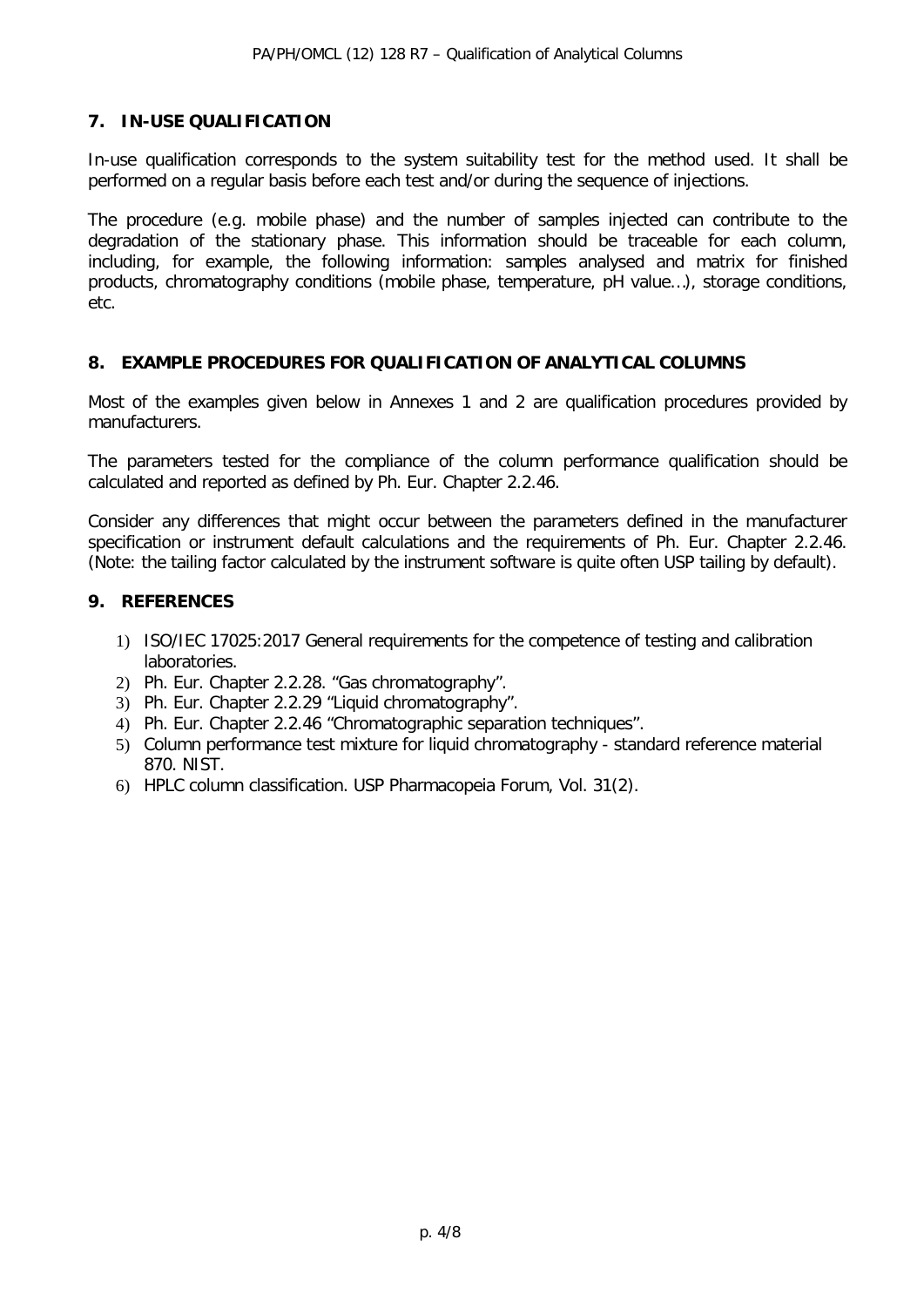# **7. IN-USE QUALIFICATION**

In-use qualification corresponds to the system suitability test for the method used. It shall be performed on a regular basis before each test and/or during the sequence of injections.

The procedure (e.g. mobile phase) and the number of samples injected can contribute to the degradation of the stationary phase. This information should be traceable for each column, including, for example, the following information: samples analysed and matrix for finished products, chromatography conditions (mobile phase, temperature, pH value…), storage conditions, etc.

# **8. EXAMPLE PROCEDURES FOR QUALIFICATION OF ANALYTICAL COLUMNS**

Most of the examples given below in Annexes 1 and 2 are qualification procedures provided by manufacturers.

The parameters tested for the compliance of the column performance qualification should be calculated and reported as defined by Ph. Eur. Chapter 2.2.46.

Consider any differences that might occur between the parameters defined in the manufacturer specification or instrument default calculations and the requirements of Ph. Eur. Chapter 2.2.46. (Note: the tailing factor calculated by the instrument software is quite often USP tailing by default).

## **9. REFERENCES**

- 1) ISO/IEC 17025:2017 General requirements for the competence of testing and calibration laboratories.
- 2) Ph. Eur. Chapter 2.2.28. "Gas chromatography".
- 3) Ph. Eur. Chapter 2.2.29 "Liquid chromatography".
- 4) Ph. Eur. Chapter 2.2.46 "Chromatographic separation techniques".
- 5) Column performance test mixture for liquid chromatography standard reference material 870. NIST.
- 6) HPLC column classification. USP Pharmacopeia Forum, Vol. 31(2).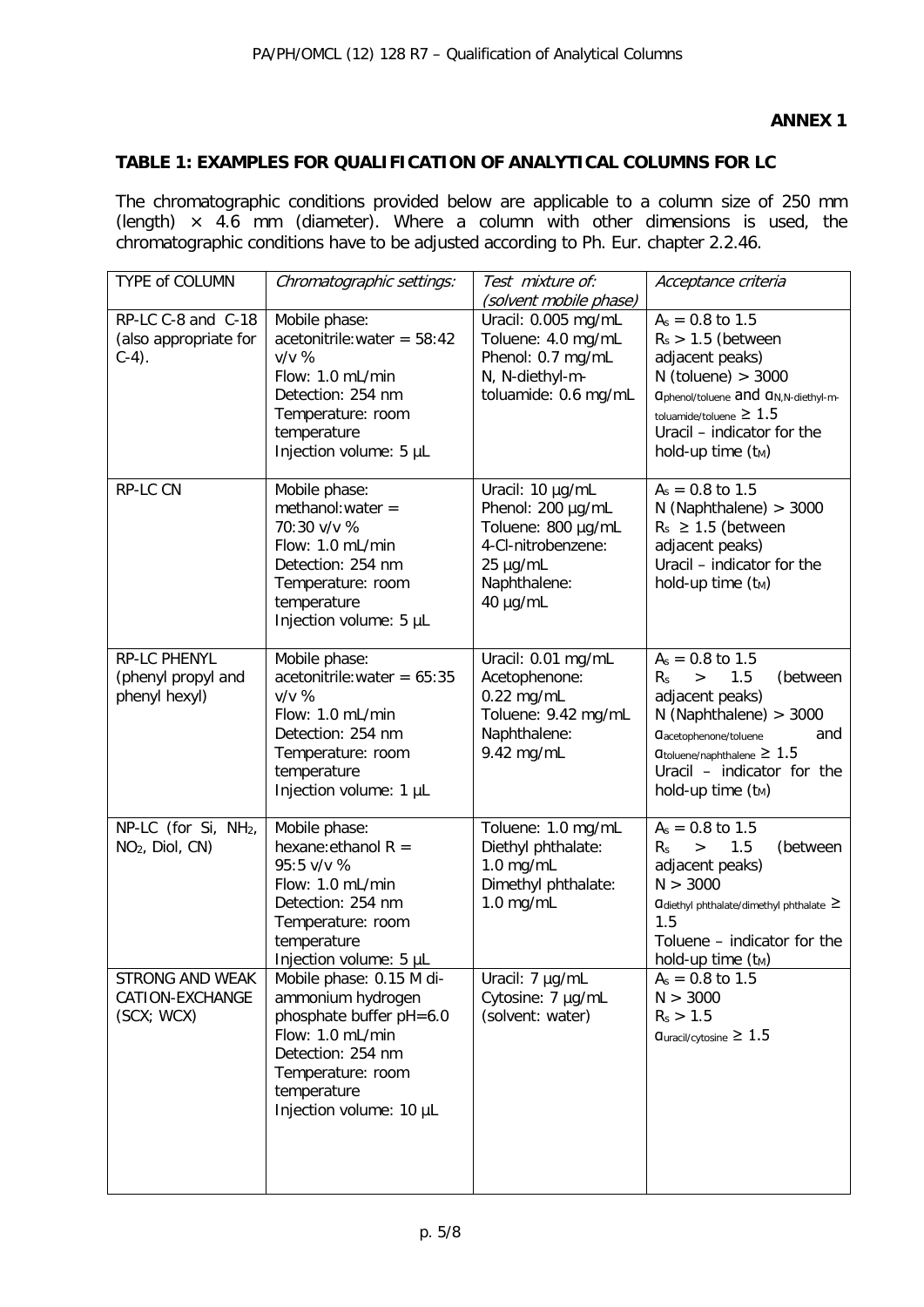# **TABLE 1: EXAMPLES FOR QUALIFICATION OF ANALYTICAL COLUMNS FOR LC**

The chromatographic conditions provided below are applicable to a column size of 250 mm (length)  $\times$  4.6 mm (diameter). Where a column with other dimensions is used, the chromatographic conditions have to be adjusted according to Ph. Eur. chapter 2.2.46.

| TYPE of COLUMN                                                  | Chromatographic settings:                                                                                                                                                        | Test mixture of:<br>(solvent mobile phase)                                                                                | Acceptance criteria                                                                                                                                                                                                                                |  |
|-----------------------------------------------------------------|----------------------------------------------------------------------------------------------------------------------------------------------------------------------------------|---------------------------------------------------------------------------------------------------------------------------|----------------------------------------------------------------------------------------------------------------------------------------------------------------------------------------------------------------------------------------------------|--|
| RP-LC C-8 and C-18<br>(also appropriate for<br>$C-4$ ).         | Mobile phase:<br>$acetonitrile:water = 58:42$<br>$v/v$ %<br>Flow: 1.0 mL/min<br>Detection: 254 nm<br>Temperature: room<br>temperature<br>Injection volume: 5 µL                  | Uracil: 0.005 mg/mL<br>Toluene: 4.0 mg/mL<br>Phenol: 0.7 mg/mL<br>N, N-diethyl-m-<br>toluamide: 0.6 mg/mL                 | $A_s = 0.8$ to 1.5<br>$R_s$ > 1.5 (between<br>adjacent peaks)<br>$N$ (toluene) > 3000<br><b>a</b> phenol/toluene and a <sub>N,N-diethyl-m-</sub><br>toluamide/toluene $\geq 1.5$<br>Uracil - indicator for the<br>hold-up time $(t_M)$             |  |
| RP-LC CN                                                        | Mobile phase:<br>$methanol:water =$<br>70:30 v/v %<br>Flow: 1.0 mL/min<br>Detection: 254 nm<br>Temperature: room<br>temperature<br>Injection volume: 5 µL                        | Uracil: 10 µg/mL<br>Phenol: 200 µg/mL<br>Toluene: 800 µg/mL<br>4-Cl-nitrobenzene:<br>25 µg/mL<br>Naphthalene:<br>40 µg/mL | $A_s = 0.8$ to 1.5<br>$N$ (Naphthalene) > 3000<br>$R_s \geq 1.5$ (between<br>adjacent peaks)<br>Uracil - indicator for the<br>hold-up time $(t_M)$                                                                                                 |  |
| RP-LC PHENYL<br>(phenyl propyl and<br>phenyl hexyl)             | Mobile phase:<br>$acetonitrile:water = 65:35$<br>$V/V$ %<br>Flow: 1.0 mL/min<br>Detection: 254 nm<br>Temperature: room<br>temperature<br>Injection volume: 1 µL                  | Uracil: 0.01 mg/mL<br>Acetophenone:<br>$0.22$ mg/mL<br>Toluene: 9.42 mg/mL<br>Naphthalene:<br>9.42 mg/mL                  | $A_s = 0.8$ to 1.5<br>(between<br>1.5<br>$R_{S}$<br>$\geq$<br>adjacent peaks)<br>$N$ (Naphthalene) > 3000<br><b>C</b> acetophenone/toluene<br>and<br>$\sigma$ toluene/naphthalene $\geq 1.5$<br>Uracil - indicator for the<br>hold-up time $(t_M)$ |  |
| NP-LC (for Si, NH <sub>2</sub> ,<br>NO <sub>2</sub> , Diol, CN) | Mobile phase:<br>hexane: ethanol $R =$<br>95:5 v/v %<br>Flow: 1.0 mL/min<br>Detection: 254 nm<br>Temperature: room<br>temperature<br>Injection volume: 5 µL                      | Toluene: 1.0 mg/mL<br>Diethyl phthalate:<br>$1.0$ mg/mL<br>Dimethyl phthalate:<br>$1.0$ mg/mL                             | $A_s = 0.8$ to 1.5<br>1.5<br>(between<br>$R_{S}$<br>$\geq$<br>adjacent peaks)<br>N > 3000<br>Cldiethyl phthalate/dimethyl phthalate ≥<br>1.5<br>Toluene - indicator for the<br>hold-up time $(t_M)$                                                |  |
| <b>STRONG AND WEAK</b><br>CATION-EXCHANGE<br>(SCX; WCX)         | Mobile phase: 0.15 M di-<br>ammonium hydrogen<br>phosphate buffer pH=6.0<br>Flow: 1.0 mL/min<br>Detection: 254 nm<br>Temperature: room<br>temperature<br>Injection volume: 10 µL | Uracil: 7 µg/mL<br>Cytosine: 7 µg/mL<br>(solvent: water)                                                                  | $A_s = 0.8$ to 1.5<br>N > 3000<br>$R_s > 1.5$<br>$q_{\text{uracil/cytosine}} \geq 1.5$                                                                                                                                                             |  |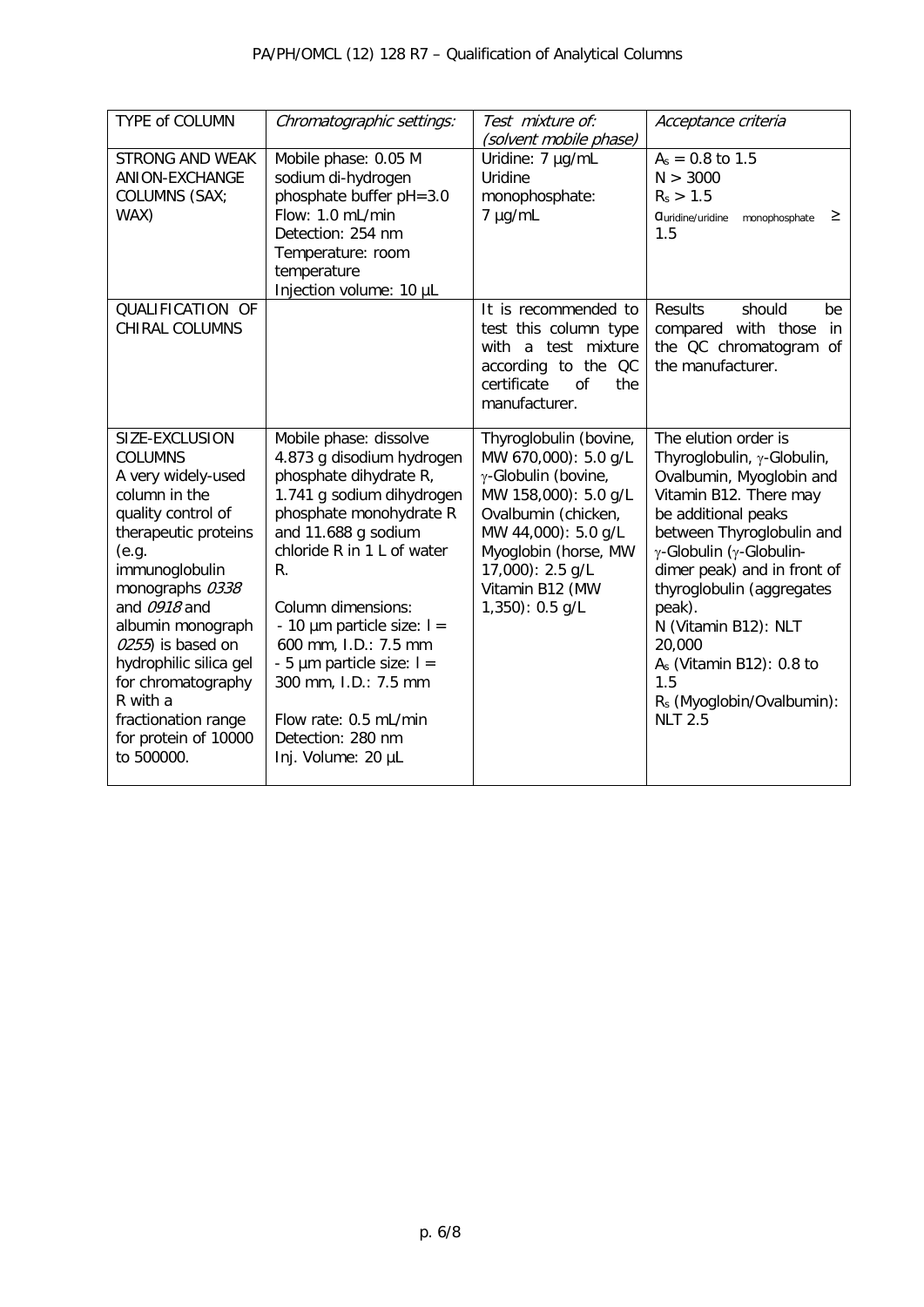| TYPE of COLUMN                                                                                                                                                                                                                                                                                                                                         | Chromatographic settings:                                                                                                                                                                                                                                                                                                                                                                                           | Test mixture of:<br>(solvent mobile phase)                                                                                                                                                                                      | Acceptance criteria                                                                                                                                                                                                                                                                                                                                                                             |  |  |
|--------------------------------------------------------------------------------------------------------------------------------------------------------------------------------------------------------------------------------------------------------------------------------------------------------------------------------------------------------|---------------------------------------------------------------------------------------------------------------------------------------------------------------------------------------------------------------------------------------------------------------------------------------------------------------------------------------------------------------------------------------------------------------------|---------------------------------------------------------------------------------------------------------------------------------------------------------------------------------------------------------------------------------|-------------------------------------------------------------------------------------------------------------------------------------------------------------------------------------------------------------------------------------------------------------------------------------------------------------------------------------------------------------------------------------------------|--|--|
| <b>STRONG AND WEAK</b><br>ANION-EXCHANGE<br>COLUMNS (SAX;<br>WAX)                                                                                                                                                                                                                                                                                      | Mobile phase: 0.05 M<br>sodium di-hydrogen<br>phosphate buffer pH=3.0<br>Flow: 1.0 mL/min<br>Detection: 254 nm<br>Temperature: room<br>temperature<br>Injection volume: 10 µL                                                                                                                                                                                                                                       | Uridine: 7 µg/mL<br>Uridine<br>monophosphate:<br>7 µg/mL                                                                                                                                                                        | $A_s = 0.8$ to 1.5<br>N > 3000<br>$R_s > 1.5$<br>≥<br><b>Quridine/uridine</b><br>monophosphate<br>1.5                                                                                                                                                                                                                                                                                           |  |  |
| QUALIFICATION OF<br><b>CHIRAL COLUMNS</b>                                                                                                                                                                                                                                                                                                              |                                                                                                                                                                                                                                                                                                                                                                                                                     | It is recommended to<br>test this column type<br>with a test mixture<br>according to the QC<br>certificate<br>$\Omega$<br>the<br>manufacturer.                                                                                  | <b>Results</b><br>should<br>be<br>compared with those<br>in.<br>the QC chromatogram of<br>the manufacturer.                                                                                                                                                                                                                                                                                     |  |  |
| SIZE-EXCLUSION<br><b>COLUMNS</b><br>A very widely-used<br>column in the<br>quality control of<br>therapeutic proteins<br>(e.g.<br>immunoglobulin<br>monographs 0338<br>and 0918 and<br>albumin monograph<br>0255) is based on<br>hydrophilic silica gel<br>for chromatography<br>R with a<br>fractionation range<br>for protein of 10000<br>to 500000. | Mobile phase: dissolve<br>4.873 g disodium hydrogen<br>phosphate dihydrate R,<br>1.741 g sodium dihydrogen<br>phosphate monohydrate R<br>and 11.688 g sodium<br>chloride R in 1 L of water<br>R.<br>Column dimensions:<br>- 10 $\mu$ m particle size: $I =$<br>600 mm, I.D.: 7.5 mm<br>- 5 $\mu$ m particle size: $I =$<br>300 mm, I.D.: 7.5 mm<br>Flow rate: 0.5 mL/min<br>Detection: 280 nm<br>Inj. Volume: 20 µL | Thyroglobulin (bovine,<br>MW 670,000): 5.0 g/L<br>γ-Globulin (bovine,<br>MW 158,000): 5.0 g/L<br>Ovalbumin (chicken,<br>MW 44,000): 5.0 g/L<br>Myoglobin (horse, MW<br>17,000): 2.5 g/L<br>Vitamin B12 (MW<br>$1,350$ : 0.5 g/L | The elution order is<br>Thyroglobulin, γ-Globulin,<br>Ovalbumin, Myoglobin and<br>Vitamin B12. There may<br>be additional peaks<br>between Thyroglobulin and<br>γ-Globulin (γ-Globulin-<br>dimer peak) and in front of<br>thyroglobulin (aggregates<br>peak).<br>N (Vitamin B12): NLT<br>20,000<br>$As$ (Vitamin B12): 0.8 to<br>1.5<br>R <sub>s</sub> (Myoglobin/Ovalbumin):<br><b>NLT 2.5</b> |  |  |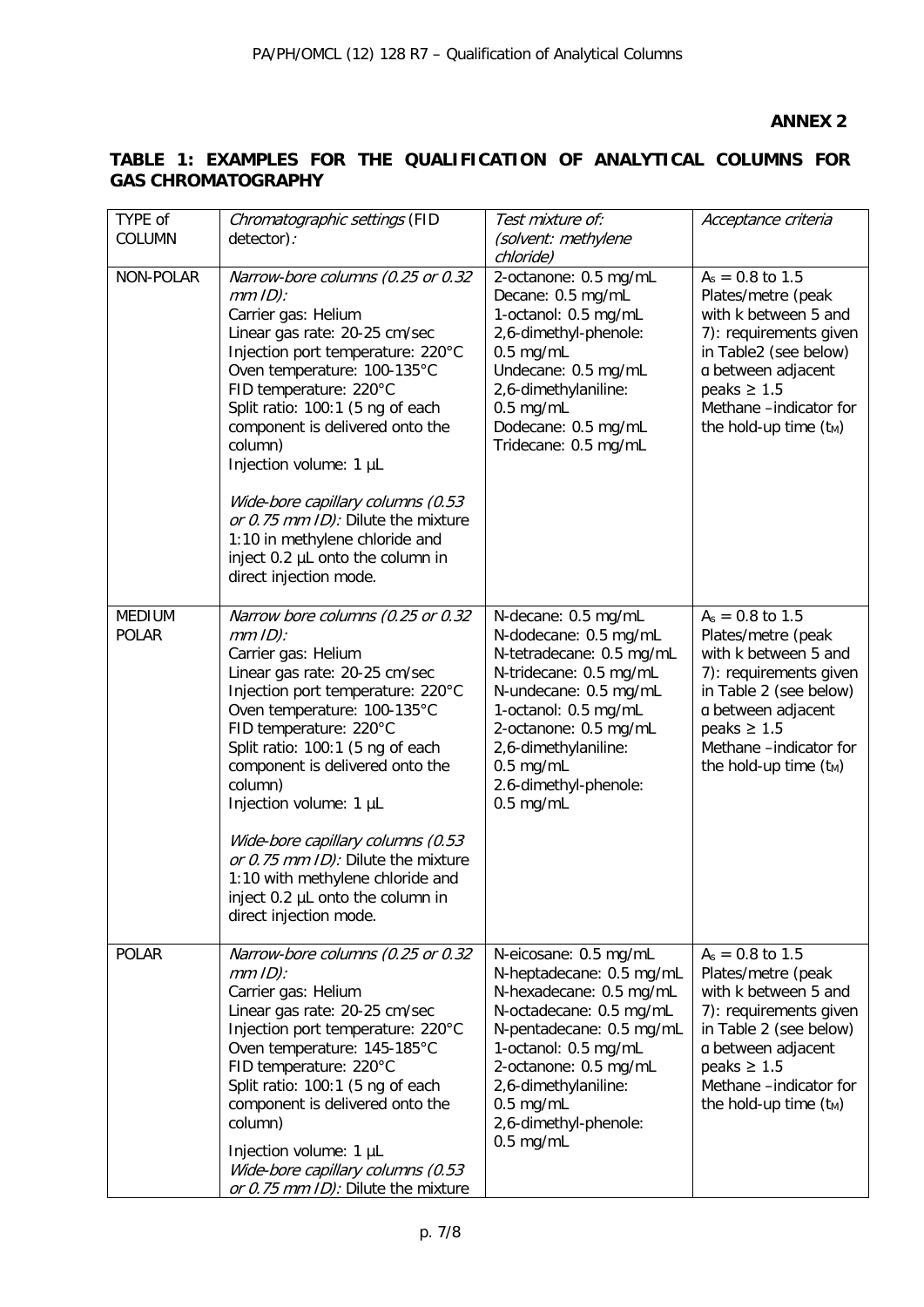# **TABLE 1: EXAMPLES FOR THE QUALIFICATION OF ANALYTICAL COLUMNS FOR GAS CHROMATOGRAPHY**

| TYPE of<br>COLUMN             | Chromatographic settings (FID<br>detector):                                                                                                                                                                                                                                                                                                                                                                                                                                                   | Test mixture of:<br>(solvent: methylene<br>chloride)                                                                                                                                                                                                                | Acceptance criteria                                                                                                                                                                                                  |  |
|-------------------------------|-----------------------------------------------------------------------------------------------------------------------------------------------------------------------------------------------------------------------------------------------------------------------------------------------------------------------------------------------------------------------------------------------------------------------------------------------------------------------------------------------|---------------------------------------------------------------------------------------------------------------------------------------------------------------------------------------------------------------------------------------------------------------------|----------------------------------------------------------------------------------------------------------------------------------------------------------------------------------------------------------------------|--|
| NON-POLAR                     | Narrow-bore columns (0.25 or 0.32<br>$mm$ ID):<br>Carrier gas: Helium<br>Linear gas rate: 20-25 cm/sec<br>Injection port temperature: 220°C<br>Oven temperature: 100-135°C<br>FID temperature: 220°C<br>Split ratio: 100:1 (5 ng of each<br>component is delivered onto the<br>column)<br>Injection volume: 1 µL<br>Wide-bore capillary columns (0.53<br>or 0.75 mm ID): Dilute the mixture<br>1:10 in methylene chloride and<br>inject 0.2 µL onto the column in<br>direct injection mode.   | 2-octanone: 0.5 mg/mL<br>Decane: 0.5 mg/mL<br>1-octanol: 0.5 mg/mL<br>2,6-dimethyl-phenole:<br>$0.5$ mg/mL<br>Undecane: 0.5 mg/mL<br>2,6-dimethylaniline:<br>$0.5$ mg/mL<br>Dodecane: 0.5 mg/mL<br>Tridecane: 0.5 mg/mL                                             | $A_s = 0.8$ to 1.5<br>Plates/metre (peak<br>with k between 5 and<br>7): requirements given<br>in Table2 (see below)<br>a between adjacent<br>peaks $\geq 1.5$<br>Methane -indicator for<br>the hold-up time $(t_M)$  |  |
| <b>MEDIUM</b><br><b>POLAR</b> | Narrow bore columns (0.25 or 0.32<br>$mm$ ID):<br>Carrier gas: Helium<br>Linear gas rate: 20-25 cm/sec<br>Injection port temperature: 220°C<br>Oven temperature: 100-135°C<br>FID temperature: 220°C<br>Split ratio: 100:1 (5 ng of each<br>component is delivered onto the<br>column)<br>Injection volume: 1 µL<br>Wide-bore capillary columns (0.53<br>or 0.75 mm ID): Dilute the mixture<br>1:10 with methylene chloride and<br>inject 0.2 µL onto the column in<br>direct injection mode. | N-decane: 0.5 mg/mL<br>N-dodecane: 0.5 mg/mL<br>N-tetradecane: 0.5 mg/mL<br>N-tridecane: 0.5 mg/mL<br>N-undecane: 0.5 mg/mL<br>1-octanol: 0.5 mg/mL<br>2-octanone: 0.5 mg/mL<br>2,6-dimethylaniline:<br>$0.5$ mg/mL<br>2.6-dimethyl-phenole:<br>$0.5$ mg/mL         | $A_s = 0.8$ to 1.5<br>Plates/metre (peak<br>with k between 5 and<br>7): requirements given<br>in Table 2 (see below)<br>a between adjacent<br>peaks $\geq 1.5$<br>Methane -indicator for<br>the hold-up time $(t_M)$ |  |
| <b>POLAR</b>                  | Narrow-bore columns (0.25 or 0.32<br>$mm$ ID):<br>Carrier gas: Helium<br>Linear gas rate: 20-25 cm/sec<br>Injection port temperature: 220°C<br>Oven temperature: 145-185°C<br>FID temperature: 220°C<br>Split ratio: 100:1 (5 ng of each<br>component is delivered onto the<br>column)<br>Injection volume: 1 µL<br>Wide-bore capillary columns (0.53<br>or 0.75 mm ID): Dilute the mixture                                                                                                   | N-eicosane: 0.5 mg/mL<br>N-heptadecane: 0.5 mg/mL<br>N-hexadecane: 0.5 mg/mL<br>N-octadecane: 0.5 mg/mL<br>N-pentadecane: 0.5 mg/mL<br>1-octanol: 0.5 mg/mL<br>2-octanone: 0.5 mg/mL<br>2,6-dimethylaniline:<br>$0.5$ mg/mL<br>2,6-dimethyl-phenole:<br>$0.5$ mg/mL | $A_s = 0.8$ to 1.5<br>Plates/metre (peak<br>with k between 5 and<br>7): requirements given<br>in Table 2 (see below)<br>a between adjacent<br>peaks $\geq 1.5$<br>Methane -indicator for<br>the hold-up time $(t_M)$ |  |